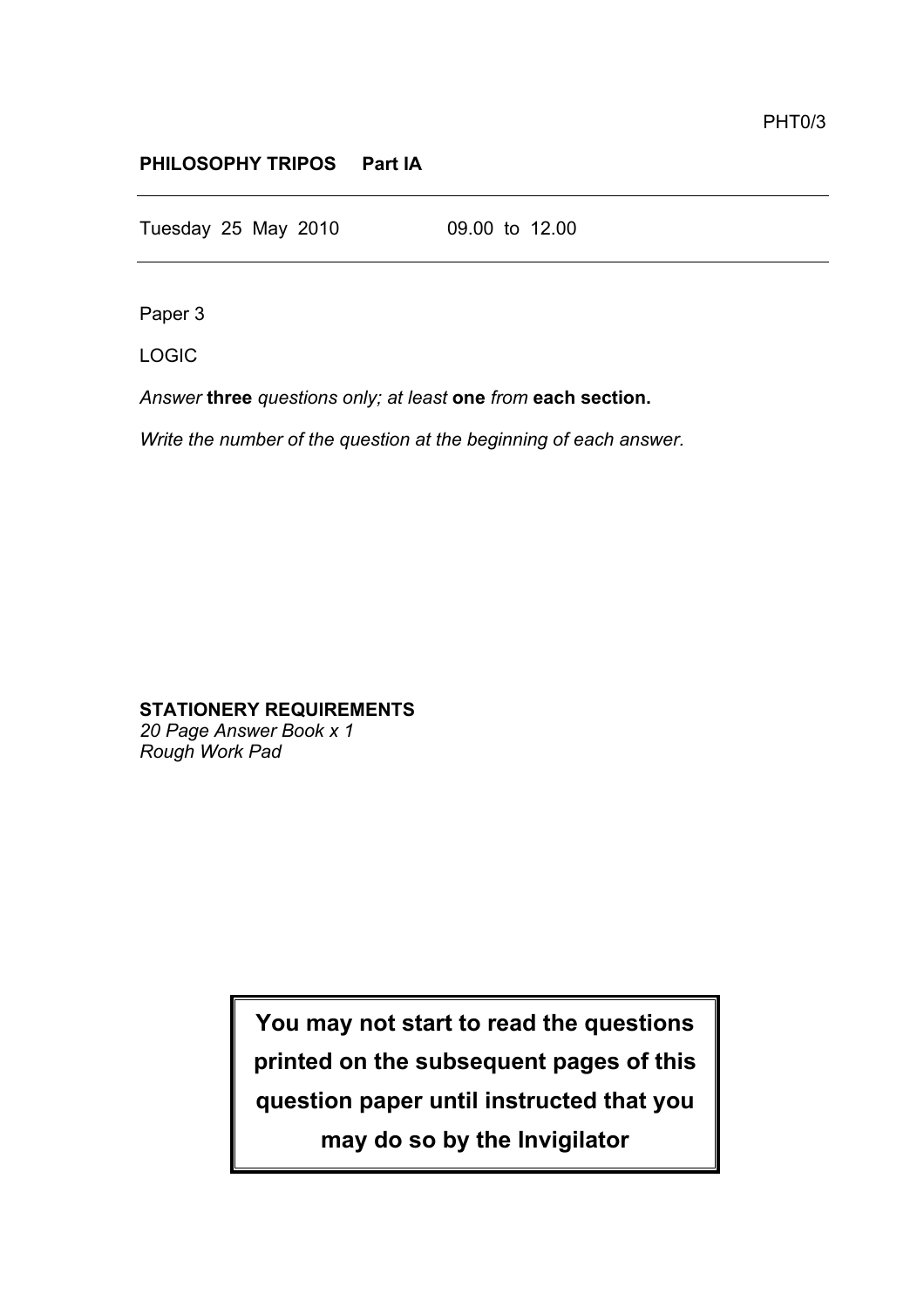## **PHILOSOPHY TRIPOS Part IA**

Tuesday 25 May 2010 09.00 to 12.00

Paper 3

LOGIC

*Answer* **three** *questions only; at least* **one** *from* **each section.**

*Write the number of the question at the beginning of each answer.*

**STATIONERY REQUIREMENTS**

*20 Page Answer Book x 1 Rough Work Pad*

> **You may not start to read the questions printed on the subsequent pages of this question paper until instructed that you may do so by the Invigilator**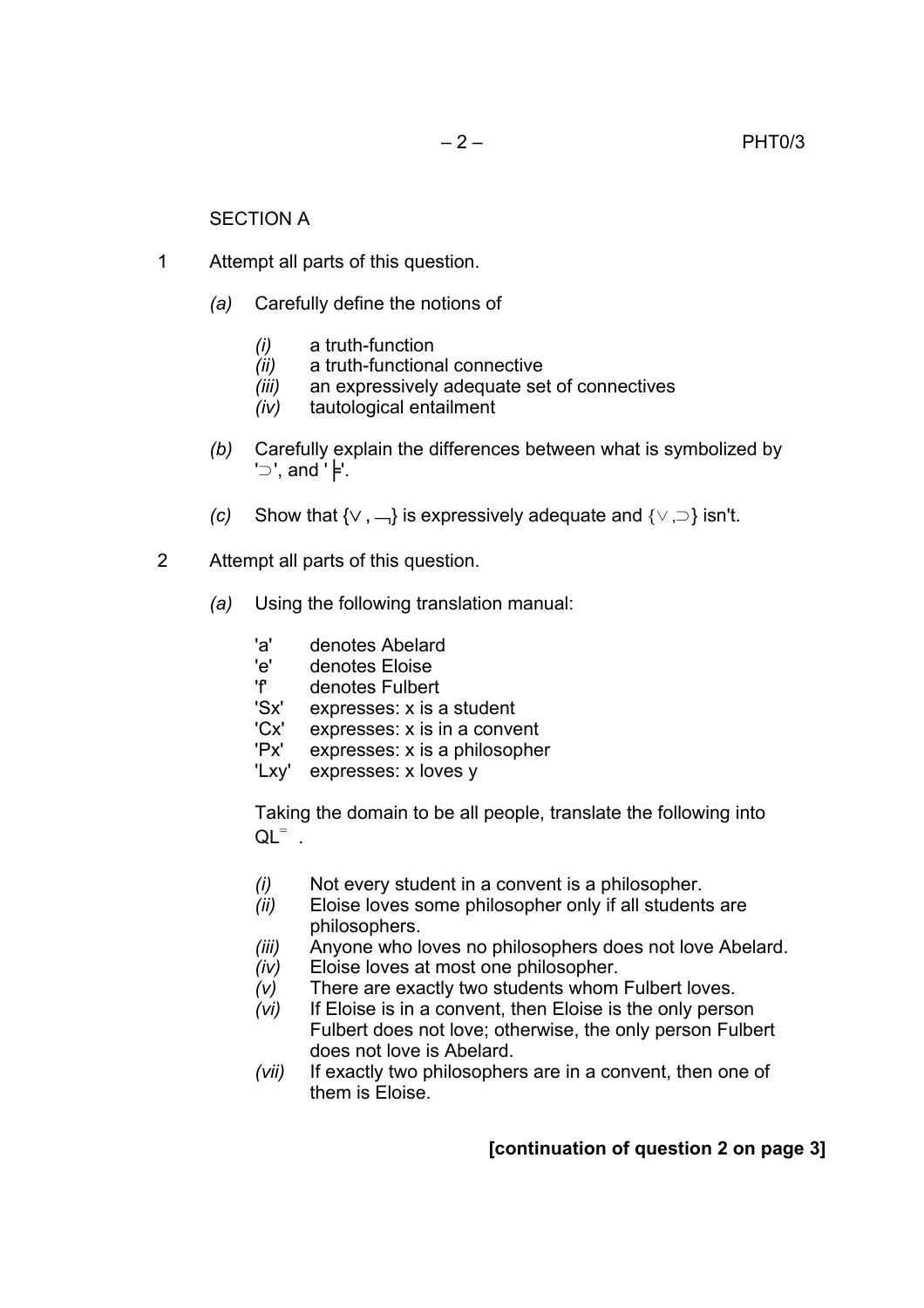## SECTION A

- 1 Attempt all parts of this question.
	- *(a)* Carefully define the notions of
		- *(i)* a truth-function
		- *(ii)* a truth-functional connective
		- *(iii)* an expressively adequate set of connectives
		- *(iv)* tautological entailment
	- *(b)* Carefully explain the differences between what is symbolized by '⊃', and '╞'.
	- *(c)* Show that {∨ **,** ¬} is expressively adequate and {∨ ,⊃} isn't.
- 2 Attempt all parts of this question.
	- *(a)* Using the following translation manual:
		- 'a' denotes Abelard
		- 'e' denotes Eloise
		- 'f' denotes Fulbert
		- 'Sx' expresses: x is a student
		- 'Cx' expresses: x is in a convent
		- 'Px' expresses: x is a philosopher
		- 'Lxy' expresses: x loves y

Taking the domain to be all people, translate the following into  $QL^=$ .

- *(i)* Not every student in a convent is a philosopher.
- *(ii)* Eloise loves some philosopher only if all students are philosophers.
- *(iii)* Anyone who loves no philosophers does not love Abelard.
- *(iv)* Eloise loves at most one philosopher.
- *(v)* There are exactly two students whom Fulbert loves.
- *(vi)* If Eloise is in a convent, then Eloise is the only person Fulbert does not love; otherwise, the only person Fulbert does not love is Abelard.
- *(vii)* If exactly two philosophers are in a convent, then one of them is Eloise.

## **[continuation of question 2 on page 3]**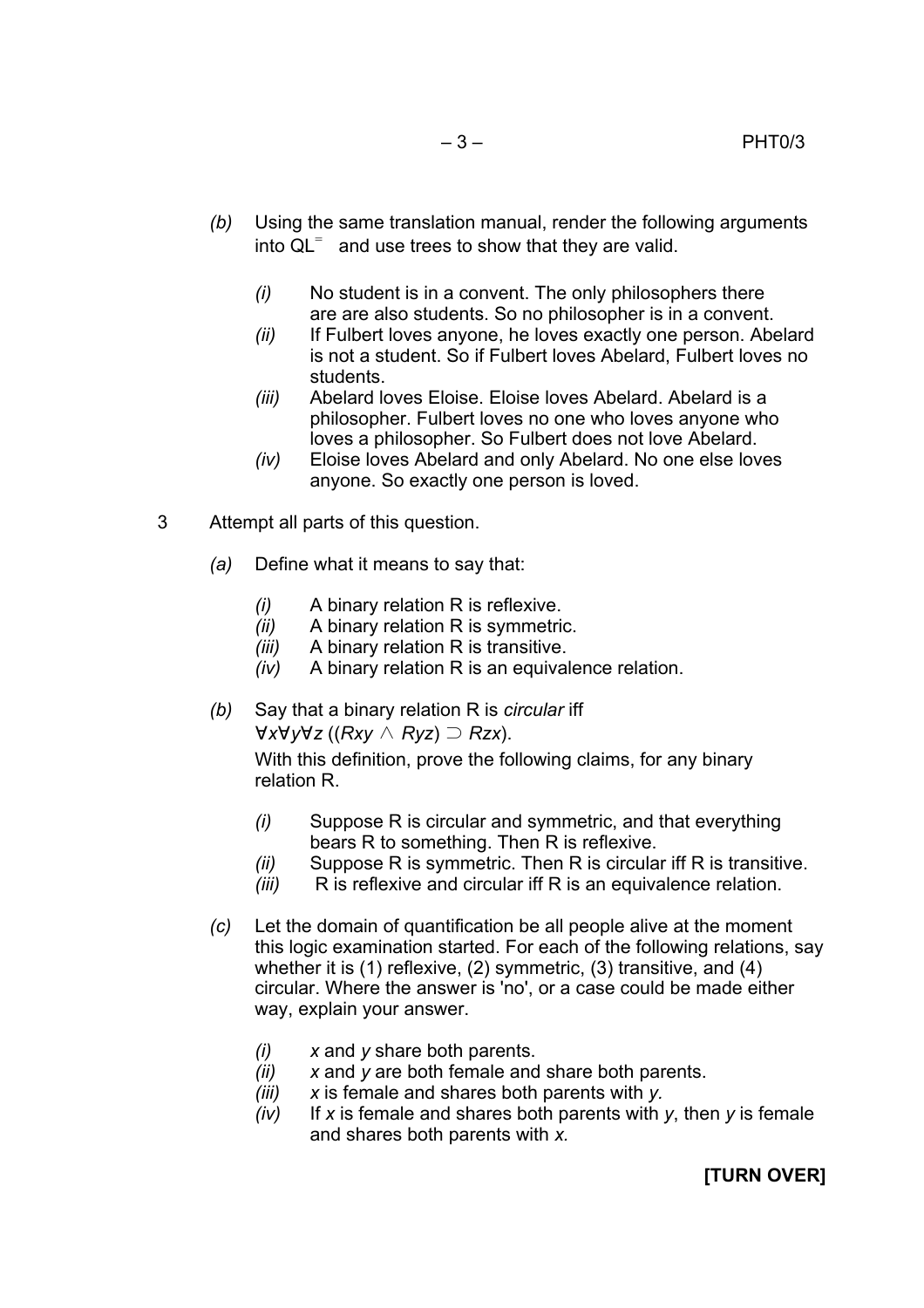- *(b)* Using the same translation manual, render the following arguments into  $QL^=$  and use trees to show that they are valid.
	- *(i)* No student is in a convent. The only philosophers there are are also students. So no philosopher is in a convent.
	- *(ii)* If Fulbert loves anyone, he loves exactly one person. Abelard is not a student. So if Fulbert loves Abelard, Fulbert loves no students.
	- *(iii)* Abelard loves Eloise. Eloise loves Abelard. Abelard is a philosopher. Fulbert loves no one who loves anyone who loves a philosopher. So Fulbert does not love Abelard.
	- *(iv)* Eloise loves Abelard and only Abelard. No one else loves anyone. So exactly one person is loved.
- 3 Attempt all parts of this question.
	- *(a)* Define what it means to say that:
		- *(i)* A binary relation R is reflexive.
		- *(ii)* A binary relation R is symmetric.
		- *(iii)* A binary relation R is transitive.
		- *(iv)* A binary relation R is an equivalence relation.
	- *(b)* Say that a binary relation R is *circular* iff ∀*x*∀*y*∀*z* ((*Rxy* ∧ *Ryz*) ⊃ *Rzx*).

With this definition, prove the following claims, for any binary relation R.

- *(i)* Suppose R is circular and symmetric, and that everything bears R to something. Then R is reflexive.
- *(ii)* Suppose R is symmetric. Then R is circular iff R is transitive.
- *(iii)* R is reflexive and circular iff R is an equivalence relation.
- *(c)* Let the domain of quantification be all people alive at the moment this logic examination started. For each of the following relations, say whether it is (1) reflexive, (2) symmetric, (3) transitive, and (4) circular. Where the answer is 'no', or a case could be made either way, explain your answer.
	- *(i) x* and *y* share both parents.
	- *(ii) x* and *y* are both female and share both parents.
	- *(iii) x* is female and shares both parents with *y.*
	- *(iv)* If *x* is female and shares both parents with *y*, then *y* is female and shares both parents with *x.*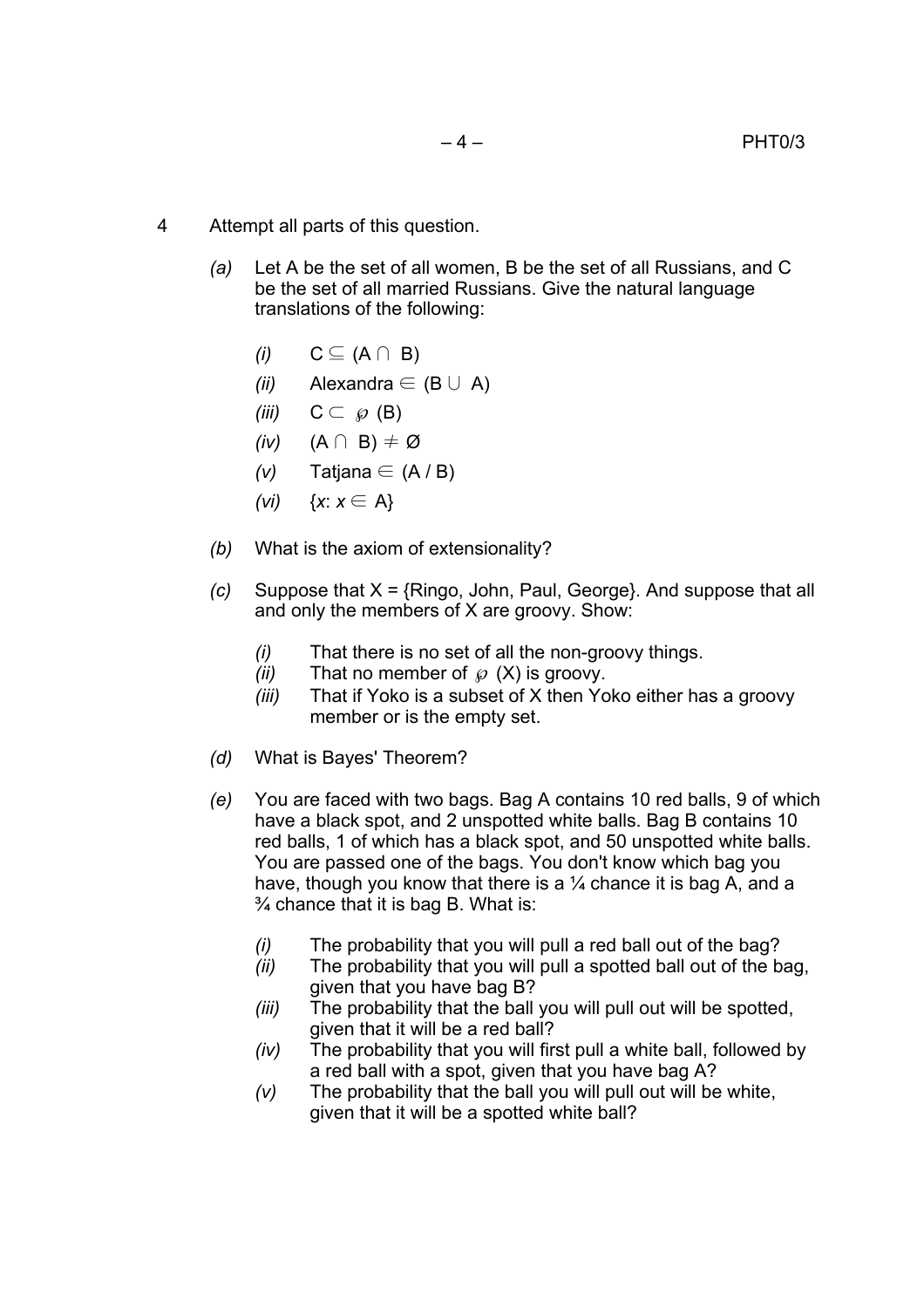- 4 Attempt all parts of this question.
	- *(a)* Let A be the set of all women, B be the set of all Russians, and C be the set of all married Russians. Give the natural language translations of the following:
		- *(i)*  $C \subseteq (A ∩ B)$
		- *(ii)* Alexandra ∈ (B ∪ A)
		- *(iii)*  $C \subset \emptyset$  (B)
		- *(iv)* (A ∩ B) ≠ Ø
		- $(v)$  Tatjana ∈ (A / B)
		- *(vi)* {*x*: *x* ∈ A}
	- *(b)* What is the axiom of extensionality?
	- *(c)* Suppose that X = {Ringo, John, Paul, George}. And suppose that all and only the members of X are groovy. Show:
		- *(i)* That there is no set of all the non-groovy things.
		- $(ii)$  That no member of  $\wp$  (X) is groovy.
		- *(iii)* That if Yoko is a subset of X then Yoko either has a groovy member or is the empty set.
	- *(d)* What is Bayes' Theorem?
	- *(e)* You are faced with two bags. Bag A contains 10 red balls, 9 of which have a black spot, and 2 unspotted white balls. Bag B contains 10 red balls, 1 of which has a black spot, and 50 unspotted white balls. You are passed one of the bags. You don't know which bag you have, though you know that there is a  $\frac{1}{4}$  chance it is bag A, and a  $\frac{3}{4}$  chance that it is bag B. What is:
		- *(i)* The probability that you will pull a red ball out of the bag?
		- *(ii)* The probability that you will pull a spotted ball out of the bag. given that you have bag B?
		- *(iii)* The probability that the ball you will pull out will be spotted, given that it will be a red ball?
		- *(iv)* The probability that you will first pull a white ball, followed by a red ball with a spot, given that you have bag A?
		- *(v)* The probability that the ball you will pull out will be white, given that it will be a spotted white ball?